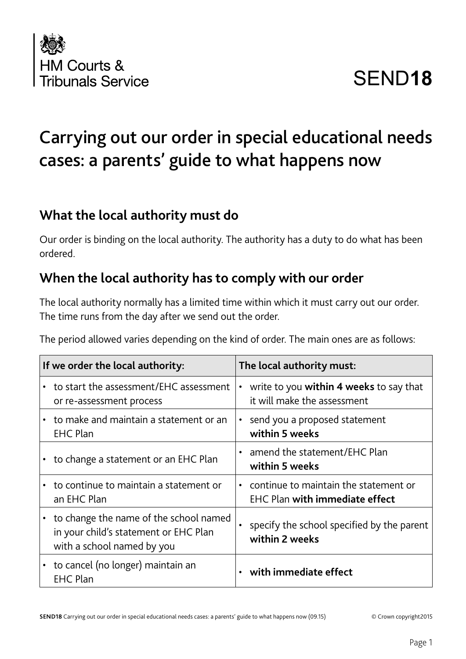

# SEND**18**

## Carrying out our order in special educational needs cases: a parents' guide to what happens now

#### **What the local authority must do**

Our order is binding on the local authority. The authority has a duty to do what has been ordered.

#### **When the local authority has to comply with our order**

The local authority normally has a limited time within which it must carry out our order. The time runs from the day after we send out the order.

The period allowed varies depending on the kind of order. The main ones are as follows:

| If we order the local authority:                                                                                | The local authority must:                                                           |
|-----------------------------------------------------------------------------------------------------------------|-------------------------------------------------------------------------------------|
| • to start the assessment/EHC assessment<br>or re-assessment process                                            | write to you within 4 weeks to say that<br>$\bullet$<br>it will make the assessment |
| • to make and maintain a statement or an<br><b>EHC Plan</b>                                                     | • send you a proposed statement<br>within 5 weeks                                   |
| • to change a statement or an EHC Plan                                                                          | • amend the statement/EHC Plan<br>within 5 weeks                                    |
| • to continue to maintain a statement or<br>an EHC Plan                                                         | • continue to maintain the statement or<br><b>EHC Plan with immediate effect</b>    |
| • to change the name of the school named<br>in your child's statement or EHC Plan<br>with a school named by you | specify the school specified by the parent<br>within 2 weeks                        |
| to cancel (no longer) maintain an<br><b>EHC Plan</b>                                                            | with immediate effect                                                               |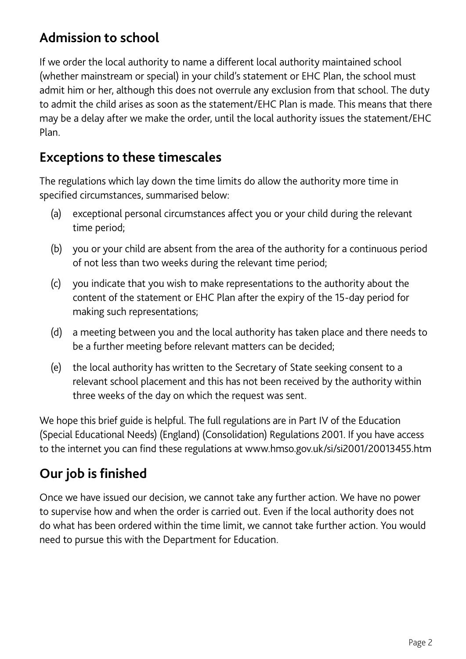## **Admission to school**

If we order the local authority to name a different local authority maintained school (whether mainstream or special) in your child's statement or EHC Plan, the school must admit him or her, although this does not overrule any exclusion from that school. The duty to admit the child arises as soon as the statement/EHC Plan is made. This means that there may be a delay after we make the order, until the local authority issues the statement/EHC Plan.

#### **Exceptions to these timescales**

The regulations which lay down the time limits do allow the authority more time in specified circumstances, summarised below:

- (a) exceptional personal circumstances affect you or your child during the relevant time period;
- (b) you or your child are absent from the area of the authority for a continuous period of not less than two weeks during the relevant time period;
- (c) you indicate that you wish to make representations to the authority about the content of the statement or EHC Plan after the expiry of the 15-day period for making such representations;
- (d) a meeting between you and the local authority has taken place and there needs to be a further meeting before relevant matters can be decided;
- (e) the local authority has written to the Secretary of State seeking consent to a relevant school placement and this has not been received by the authority within three weeks of the day on which the request was sent.

We hope this brief guide is helpful. The full regulations are in Part IV of the Education (Special Educational Needs) (England) (Consolidation) Regulations 2001. If you have access to the internet you can find these regulations at www.hmso.gov.uk/si/si2001/20013455.htm

### **Our job is finished**

Once we have issued our decision, we cannot take any further action. We have no power to supervise how and when the order is carried out. Even if the local authority does not do what has been ordered within the time limit, we cannot take further action. You would need to pursue this with the Department for Education.